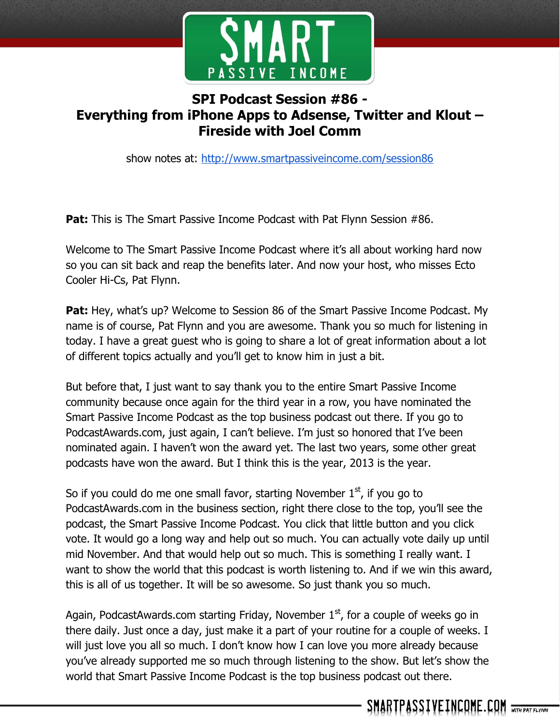

## **SPI Podcast Session #86 - Everything from iPhone Apps to Adsense, Twitter and Klout – Fireside with Joel Comm**

show notes at: http://www.smartpassiveincome.com/session86

**Pat:** This is The Smart Passive Income Podcast with Pat Flynn Session #86.

Welcome to The Smart Passive Income Podcast where it's all about working hard now so you can sit back and reap the benefits later. And now your host, who misses Ecto Cooler Hi-Cs, Pat Flynn.

**Pat:** Hey, what's up? Welcome to Session 86 of the Smart Passive Income Podcast. My name is of course, Pat Flynn and you are awesome. Thank you so much for listening in today. I have a great guest who is going to share a lot of great information about a lot of different topics actually and you'll get to know him in just a bit.

But before that, I just want to say thank you to the entire Smart Passive Income community because once again for the third year in a row, you have nominated the Smart Passive Income Podcast as the top business podcast out there. If you go to PodcastAwards.com, just again, I can't believe. I'm just so honored that I've been nominated again. I haven't won the award yet. The last two years, some other great podcasts have won the award. But I think this is the year, 2013 is the year.

So if you could do me one small favor, starting November  $1<sup>st</sup>$ , if you go to PodcastAwards.com in the business section, right there close to the top, you'll see the podcast, the Smart Passive Income Podcast. You click that little button and you click vote. It would go a long way and help out so much. You can actually vote daily up until mid November. And that would help out so much. This is something I really want. I want to show the world that this podcast is worth listening to. And if we win this award, this is all of us together. It will be so awesome. So just thank you so much.

Again, PodcastAwards.com starting Friday, November  $1<sup>st</sup>$ , for a couple of weeks go in there daily. Just once a day, just make it a part of your routine for a couple of weeks. I will just love you all so much. I don't know how I can love you more already because you've already supported me so much through listening to the show. But let's show the world that Smart Passive Income Podcast is the top business podcast out there.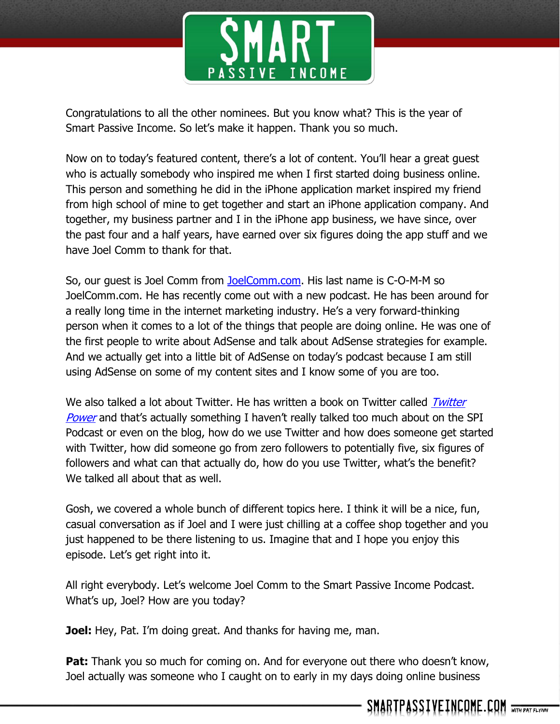

Congratulations to all the other nominees. But you know what? This is the year of Smart Passive Income. So let's make it happen. Thank you so much.

Now on to today's featured content, there's a lot of content. You'll hear a great guest who is actually somebody who inspired me when I first started doing business online. This person and something he did in the iPhone application market inspired my friend from high school of mine to get together and start an iPhone application company. And together, my business partner and I in the iPhone app business, we have since, over the past four and a half years, have earned over six figures doing the app stuff and we have Joel Comm to thank for that.

So, our guest is Joel Comm from [JoelComm.com.](http://www.joelcomm.com/) His last name is C-O-M-M so JoelComm.com. He has recently come out with a new podcast. He has been around for a really long time in the internet marketing industry. He's a very forward-thinking person when it comes to a lot of the things that people are doing online. He was one of the first people to write about AdSense and talk about AdSense strategies for example. And we actually get into a little bit of AdSense on today's podcast because I am still using AdSense on some of my content sites and I know some of you are too.

We also talked a lot about Twitter. He has written a book on [Twitter](http://www.amazon.com/gp/product/B003E8AJLK/ref=as_li_ss_tl?ie=UTF8&camp=1789&creative=390957&creativeASIN=B003E8AJLK&linkCode=as2&tag=intheleetheun-20) called *Twitter* [Power](http://www.amazon.com/gp/product/B003E8AJLK/ref=as_li_ss_tl?ie=UTF8&camp=1789&creative=390957&creativeASIN=B003E8AJLK&linkCode=as2&tag=intheleetheun-20) and that's actually something I haven't really talked too much about on the SPI Podcast or even on the blog, how do we use Twitter and how does someone get started with Twitter, how did someone go from zero followers to potentially five, six figures of followers and what can that actually do, how do you use Twitter, what's the benefit? We talked all about that as well.

Gosh, we covered a whole bunch of different topics here. I think it will be a nice, fun, casual conversation as if Joel and I were just chilling at a coffee shop together and you just happened to be there listening to us. Imagine that and I hope you enjoy this episode. Let's get right into it.

All right everybody. Let's welcome Joel Comm to the Smart Passive Income Podcast. What's up, Joel? How are you today?

**Joel:** Hey, Pat. I'm doing great. And thanks for having me, man.

**Pat:** Thank you so much for coming on. And for everyone out there who doesn't know, Joel actually was someone who I caught on to early in my days doing online business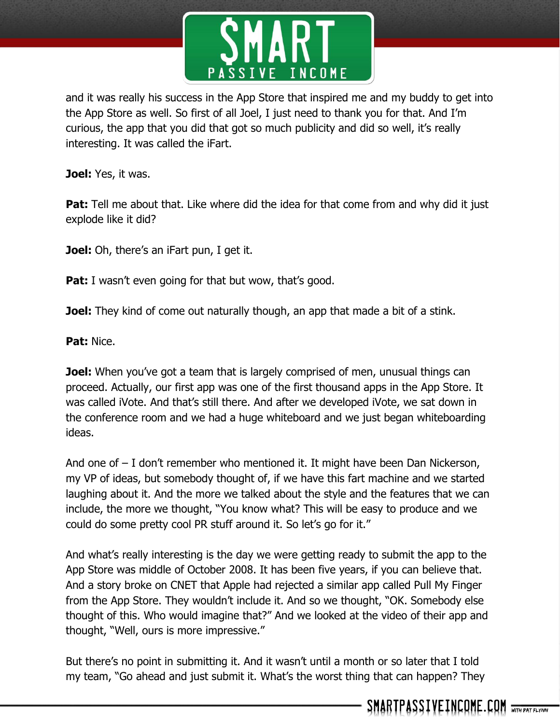

and it was really his success in the App Store that inspired me and my buddy to get into the App Store as well. So first of all Joel, I just need to thank you for that. And I'm curious, the app that you did that got so much publicity and did so well, it's really interesting. It was called the iFart.

**Joel:** Yes, it was.

**Pat:** Tell me about that. Like where did the idea for that come from and why did it just explode like it did?

**Joel:** Oh, there's an iFart pun, I get it.

**Pat:** I wasn't even going for that but wow, that's good.

**Joel:** They kind of come out naturally though, an app that made a bit of a stink.

**Pat:** Nice.

**Joel:** When you've got a team that is largely comprised of men, unusual things can proceed. Actually, our first app was one of the first thousand apps in the App Store. It was called iVote. And that's still there. And after we developed iVote, we sat down in the conference room and we had a huge whiteboard and we just began whiteboarding ideas.

And one of – I don't remember who mentioned it. It might have been Dan Nickerson, my VP of ideas, but somebody thought of, if we have this fart machine and we started laughing about it. And the more we talked about the style and the features that we can include, the more we thought, "You know what? This will be easy to produce and we could do some pretty cool PR stuff around it. So let's go for it."

And what's really interesting is the day we were getting ready to submit the app to the App Store was middle of October 2008. It has been five years, if you can believe that. And a story broke on CNET that Apple had rejected a similar app called Pull My Finger from the App Store. They wouldn't include it. And so we thought, "OK. Somebody else thought of this. Who would imagine that?" And we looked at the video of their app and thought, "Well, ours is more impressive."

But there's no point in submitting it. And it wasn't until a month or so later that I told my team, "Go ahead and just submit it. What's the worst thing that can happen? They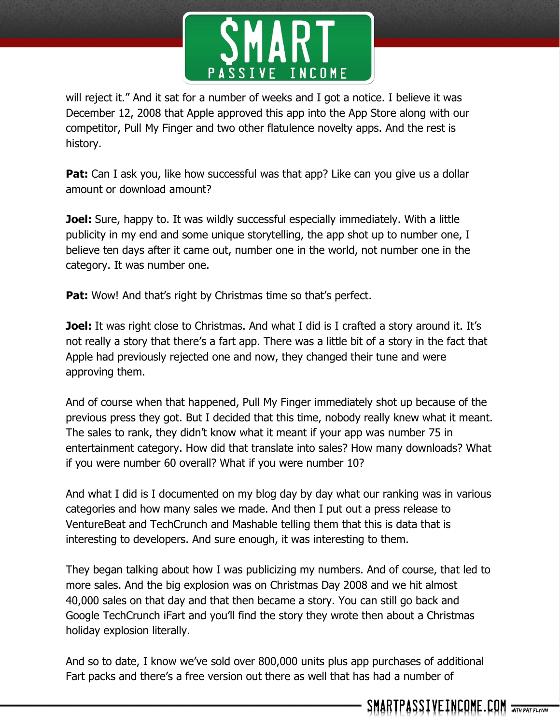

will reject it." And it sat for a number of weeks and I got a notice. I believe it was December 12, 2008 that Apple approved this app into the App Store along with our competitor, Pull My Finger and two other flatulence novelty apps. And the rest is history.

**Pat:** Can I ask you, like how successful was that app? Like can you give us a dollar amount or download amount?

**Joel:** Sure, happy to. It was wildly successful especially immediately. With a little publicity in my end and some unique storytelling, the app shot up to number one, I believe ten days after it came out, number one in the world, not number one in the category. It was number one.

**Pat:** Wow! And that's right by Christmas time so that's perfect.

**Joel:** It was right close to Christmas. And what I did is I crafted a story around it. It's not really a story that there's a fart app. There was a little bit of a story in the fact that Apple had previously rejected one and now, they changed their tune and were approving them.

And of course when that happened, Pull My Finger immediately shot up because of the previous press they got. But I decided that this time, nobody really knew what it meant. The sales to rank, they didn't know what it meant if your app was number 75 in entertainment category. How did that translate into sales? How many downloads? What if you were number 60 overall? What if you were number 10?

And what I did is I documented on my blog day by day what our ranking was in various categories and how many sales we made. And then I put out a press release to VentureBeat and TechCrunch and Mashable telling them that this is data that is interesting to developers. And sure enough, it was interesting to them.

They began talking about how I was publicizing my numbers. And of course, that led to more sales. And the big explosion was on Christmas Day 2008 and we hit almost 40,000 sales on that day and that then became a story. You can still go back and Google TechCrunch iFart and you'll find the story they wrote then about a Christmas holiday explosion literally.

And so to date, I know we've sold over 800,000 units plus app purchases of additional Fart packs and there's a free version out there as well that has had a number of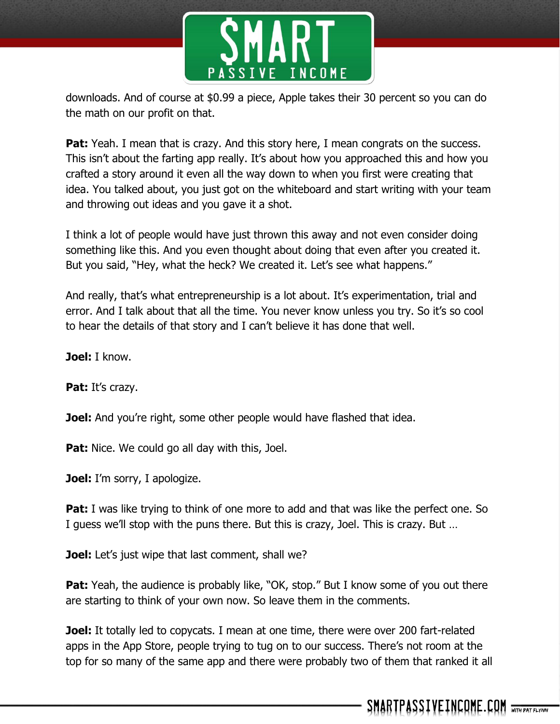

downloads. And of course at \$0.99 a piece, Apple takes their 30 percent so you can do the math on our profit on that.

**Pat:** Yeah. I mean that is crazy. And this story here, I mean congrats on the success. This isn't about the farting app really. It's about how you approached this and how you crafted a story around it even all the way down to when you first were creating that idea. You talked about, you just got on the whiteboard and start writing with your team and throwing out ideas and you gave it a shot.

I think a lot of people would have just thrown this away and not even consider doing something like this. And you even thought about doing that even after you created it. But you said, "Hey, what the heck? We created it. Let's see what happens."

And really, that's what entrepreneurship is a lot about. It's experimentation, trial and error. And I talk about that all the time. You never know unless you try. So it's so cool to hear the details of that story and I can't believe it has done that well.

**Joel:** I know.

Pat: It's crazy.

**Joel:** And you're right, some other people would have flashed that idea.

**Pat:** Nice. We could go all day with this, Joel.

**Joel:** I'm sorry, I apologize.

**Pat:** I was like trying to think of one more to add and that was like the perfect one. So I guess we'll stop with the puns there. But this is crazy, Joel. This is crazy. But …

**Joel:** Let's just wipe that last comment, shall we?

**Pat:** Yeah, the audience is probably like, "OK, stop." But I know some of you out there are starting to think of your own now. So leave them in the comments.

**Joel:** It totally led to copycats. I mean at one time, there were over 200 fart-related apps in the App Store, people trying to tug on to our success. There's not room at the top for so many of the same app and there were probably two of them that ranked it all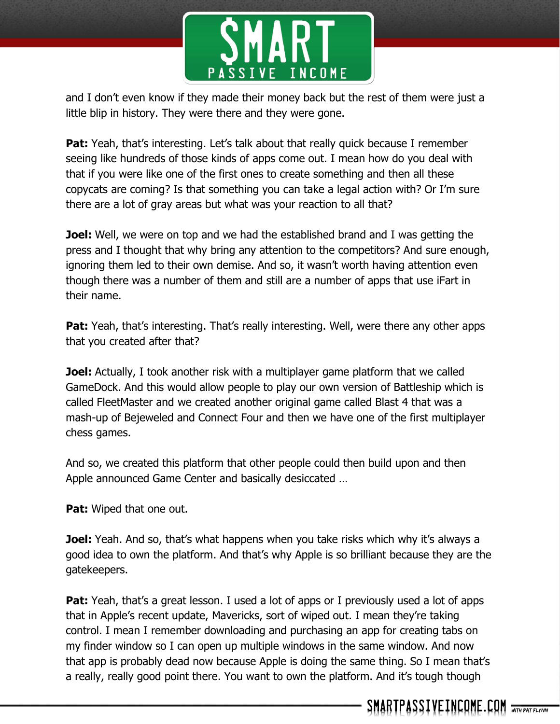

and I don't even know if they made their money back but the rest of them were just a little blip in history. They were there and they were gone.

**Pat:** Yeah, that's interesting. Let's talk about that really quick because I remember seeing like hundreds of those kinds of apps come out. I mean how do you deal with that if you were like one of the first ones to create something and then all these copycats are coming? Is that something you can take a legal action with? Or I'm sure there are a lot of gray areas but what was your reaction to all that?

**Joel:** Well, we were on top and we had the established brand and I was getting the press and I thought that why bring any attention to the competitors? And sure enough, ignoring them led to their own demise. And so, it wasn't worth having attention even though there was a number of them and still are a number of apps that use iFart in their name.

**Pat:** Yeah, that's interesting. That's really interesting. Well, were there any other apps that you created after that?

**Joel:** Actually, I took another risk with a multiplayer game platform that we called GameDock. And this would allow people to play our own version of Battleship which is called FleetMaster and we created another original game called Blast 4 that was a mash-up of Bejeweled and Connect Four and then we have one of the first multiplayer chess games.

And so, we created this platform that other people could then build upon and then Apple announced Game Center and basically desiccated …

**Pat:** Wiped that one out.

**Joel:** Yeah. And so, that's what happens when you take risks which why it's always a good idea to own the platform. And that's why Apple is so brilliant because they are the gatekeepers.

**Pat:** Yeah, that's a great lesson. I used a lot of apps or I previously used a lot of apps that in Apple's recent update, Mavericks, sort of wiped out. I mean they're taking control. I mean I remember downloading and purchasing an app for creating tabs on my finder window so I can open up multiple windows in the same window. And now that app is probably dead now because Apple is doing the same thing. So I mean that's a really, really good point there. You want to own the platform. And it's tough though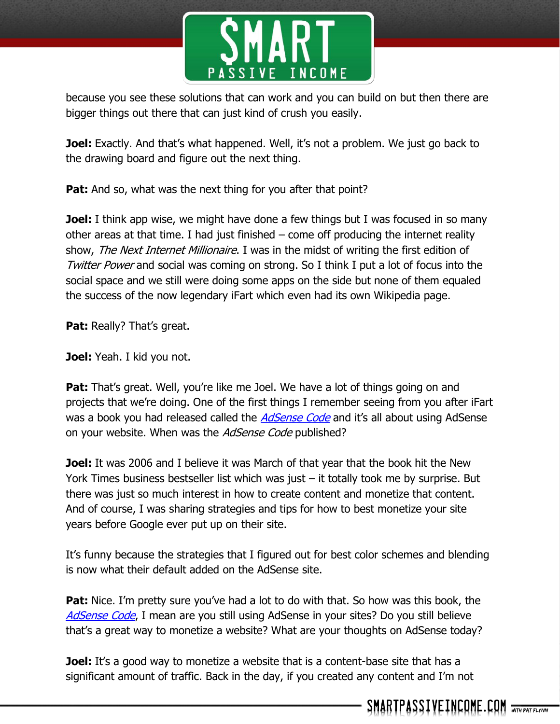

because you see these solutions that can work and you can build on but then there are bigger things out there that can just kind of crush you easily.

**Joel:** Exactly. And that's what happened. Well, it's not a problem. We just go back to the drawing board and figure out the next thing.

**Pat:** And so, what was the next thing for you after that point?

**Joel:** I think app wise, we might have done a few things but I was focused in so many other areas at that time. I had just finished – come off producing the internet reality show, The Next Internet Millionaire. I was in the midst of writing the first edition of Twitter Power and social was coming on strong. So I think I put a lot of focus into the social space and we still were doing some apps on the side but none of them equaled the success of the now legendary iFart which even had its own Wikipedia page.

**Pat: Really? That's great.** 

**Joel:** Yeah. I kid you not.

**Pat:** That's great. Well, you're like me Joel. We have a lot of things going on and projects that we're doing. One of the first things I remember seeing from you after iFart was a book you had released called the *[AdSense Code](http://www.amazon.com/The-AdSense-Code-Google-Making/dp/1933596708)* and it's all about using AdSense on your website. When was the *AdSense Code* published?

**Joel:** It was 2006 and I believe it was March of that year that the book hit the New York Times business bestseller list which was just – it totally took me by surprise. But there was just so much interest in how to create content and monetize that content. And of course, I was sharing strategies and tips for how to best monetize your site years before Google ever put up on their site.

It's funny because the strategies that I figured out for best color schemes and blending is now what their default added on the AdSense site.

**Pat:** Nice. I'm pretty sure you've had a lot to do with that. So how was this book, the [AdSense Code](http://www.amazon.com/The-AdSense-Code-Google-Making/dp/1933596708), I mean are you still using AdSense in your sites? Do you still believe that's a great way to monetize a website? What are your thoughts on AdSense today?

**Joel:** It's a good way to monetize a website that is a content-base site that has a significant amount of traffic. Back in the day, if you created any content and I'm not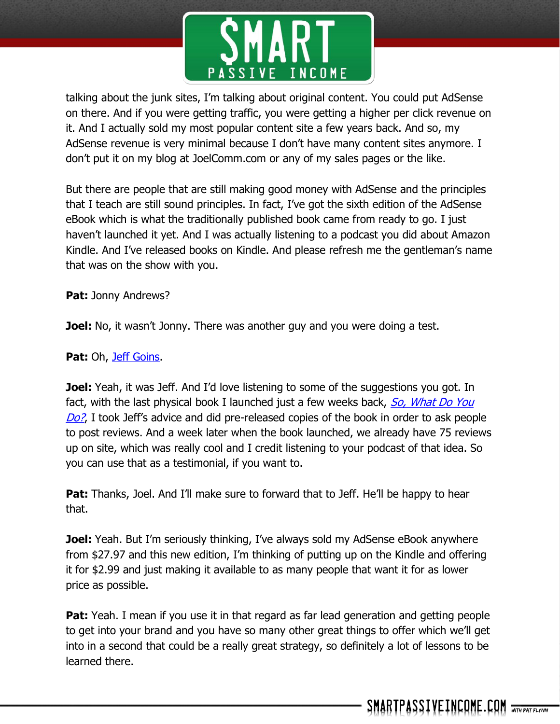

talking about the junk sites, I'm talking about original content. You could put AdSense on there. And if you were getting traffic, you were getting a higher per click revenue on it. And I actually sold my most popular content site a few years back. And so, my AdSense revenue is very minimal because I don't have many content sites anymore. I don't put it on my blog at JoelComm.com or any of my sales pages or the like.

But there are people that are still making good money with AdSense and the principles that I teach are still sound principles. In fact, I've got the sixth edition of the AdSense eBook which is what the traditionally published book came from ready to go. I just haven't launched it yet. And I was actually listening to a podcast you did about Amazon Kindle. And I've released books on Kindle. And please refresh me the gentleman's name that was on the show with you.

**Pat:** Jonny Andrews?

**Joel:** No, it wasn't Jonny. There was another guy and you were doing a test.

**Pat:** Oh, [Jeff Goins.](http://www.smartpassiveincome.com/book-marketing-time-travel/)

**Joel:** Yeah, it was Jeff. And I'd love listening to some of the suggestions you got. In fact, with the last physical book I launched just a few weeks back, So, What Do You [Do?](http://www.amazon.com/gp/product/B003E8AJLK/ref=as_li_ss_tl?ie=UTF8&camp=1789&creative=390957&creativeASIN=B003E8AJLK&linkCode=as2&tag=intheleetheun-20), I took Jeff's advice and did pre-released copies of the book in order to ask people to post reviews. And a week later when the book launched, we already have 75 reviews up on site, which was really cool and I credit listening to your podcast of that idea. So you can use that as a testimonial, if you want to.

**Pat:** Thanks, Joel. And I'll make sure to forward that to Jeff. He'll be happy to hear that.

**Joel:** Yeah. But I'm seriously thinking, I've always sold my AdSense eBook anywhere from \$27.97 and this new edition, I'm thinking of putting up on the Kindle and offering it for \$2.99 and just making it available to as many people that want it for as lower price as possible.

**Pat:** Yeah. I mean if you use it in that regard as far lead generation and getting people to get into your brand and you have so many other great things to offer which we'll get into in a second that could be a really great strategy, so definitely a lot of lessons to be learned there.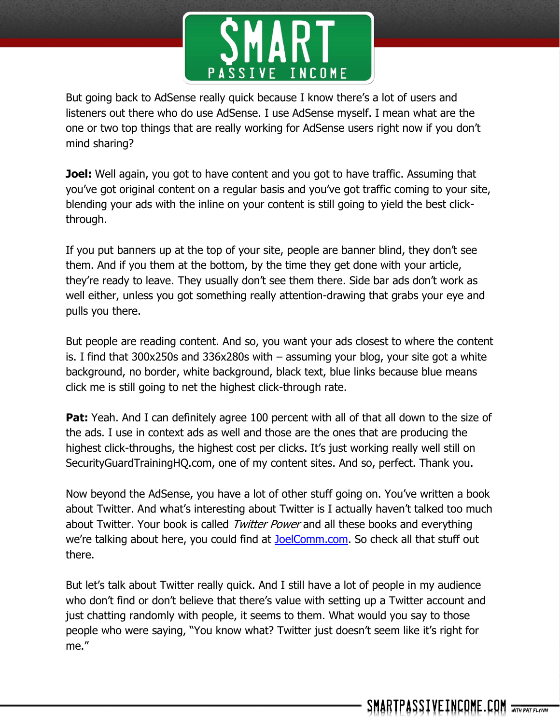

But going back to AdSense really quick because I know there's a lot of users and listeners out there who do use AdSense. I use AdSense myself. I mean what are the one or two top things that are really working for AdSense users right now if you don't mind sharing?

**Joel:** Well again, you got to have content and you got to have traffic. Assuming that you've got original content on a regular basis and you've got traffic coming to your site, blending your ads with the inline on your content is still going to yield the best clickthrough.

If you put banners up at the top of your site, people are banner blind, they don't see them. And if you them at the bottom, by the time they get done with your article, they're ready to leave. They usually don't see them there. Side bar ads don't work as well either, unless you got something really attention-drawing that grabs your eye and pulls you there.

But people are reading content. And so, you want your ads closest to where the content is. I find that 300x250s and 336x280s with – assuming your blog, your site got a white background, no border, white background, black text, blue links because blue means click me is still going to net the highest click-through rate.

**Pat:** Yeah. And I can definitely agree 100 percent with all of that all down to the size of the ads. I use in context ads as well and those are the ones that are producing the highest click-throughs, the highest cost per clicks. It's just working really well still on SecurityGuardTrainingHQ.com, one of my content sites. And so, perfect. Thank you.

Now beyond the AdSense, you have a lot of other stuff going on. You've written a book about Twitter. And what's interesting about Twitter is I actually haven't talked too much about Twitter. Your book is called Twitter Power and all these books and everything we're talking about here, you could find at [JoelComm.com.](http://www.joelcomm.com/) So check all that stuff out there.

But let's talk about Twitter really quick. And I still have a lot of people in my audience who don't find or don't believe that there's value with setting up a Twitter account and just chatting randomly with people, it seems to them. What would you say to those people who were saying, "You know what? Twitter just doesn't seem like it's right for me."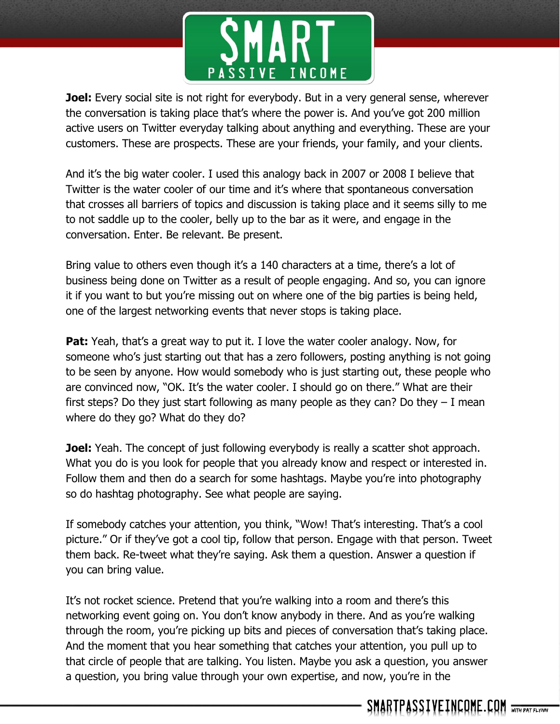

**Joel:** Every social site is not right for everybody. But in a very general sense, wherever the conversation is taking place that's where the power is. And you've got 200 million active users on Twitter everyday talking about anything and everything. These are your customers. These are prospects. These are your friends, your family, and your clients.

And it's the big water cooler. I used this analogy back in 2007 or 2008 I believe that Twitter is the water cooler of our time and it's where that spontaneous conversation that crosses all barriers of topics and discussion is taking place and it seems silly to me to not saddle up to the cooler, belly up to the bar as it were, and engage in the conversation. Enter. Be relevant. Be present.

Bring value to others even though it's a 140 characters at a time, there's a lot of business being done on Twitter as a result of people engaging. And so, you can ignore it if you want to but you're missing out on where one of the big parties is being held, one of the largest networking events that never stops is taking place.

**Pat:** Yeah, that's a great way to put it. I love the water cooler analogy. Now, for someone who's just starting out that has a zero followers, posting anything is not going to be seen by anyone. How would somebody who is just starting out, these people who are convinced now, "OK. It's the water cooler. I should go on there." What are their first steps? Do they just start following as many people as they can? Do they  $-1$  mean where do they go? What do they do?

**Joel:** Yeah. The concept of just following everybody is really a scatter shot approach. What you do is you look for people that you already know and respect or interested in. Follow them and then do a search for some hashtags. Maybe you're into photography so do hashtag photography. See what people are saying.

If somebody catches your attention, you think, "Wow! That's interesting. That's a cool picture." Or if they've got a cool tip, follow that person. Engage with that person. Tweet them back. Re-tweet what they're saying. Ask them a question. Answer a question if you can bring value.

It's not rocket science. Pretend that you're walking into a room and there's this networking event going on. You don't know anybody in there. And as you're walking through the room, you're picking up bits and pieces of conversation that's taking place. And the moment that you hear something that catches your attention, you pull up to that circle of people that are talking. You listen. Maybe you ask a question, you answer a question, you bring value through your own expertise, and now, you're in the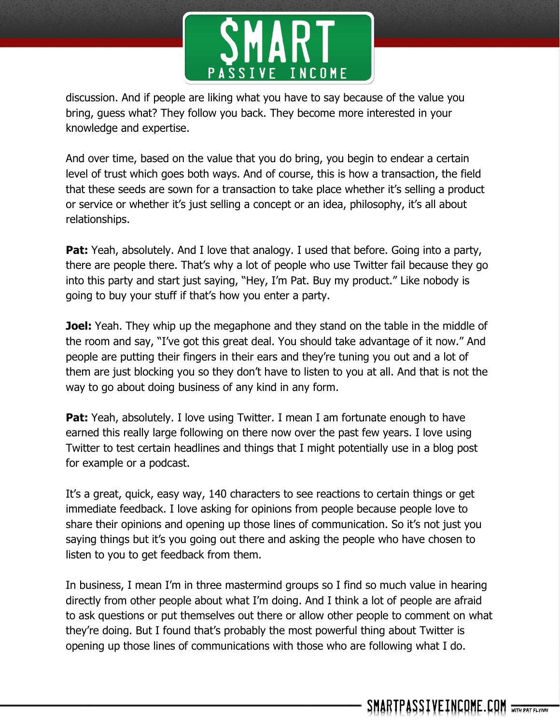

discussion. And if people are liking what you have to say because of the value you bring, guess what? They follow you back. They become more interested in your knowledge and expertise.

And over time, based on the value that you do bring, you begin to endear a certain level of trust which goes both ways. And of course, this is how a transaction, the field that these seeds are sown for a transaction to take place whether it's selling a product or service or whether it's just selling a concept or an idea, philosophy, it's all about relationships.

**Pat:** Yeah, absolutely. And I love that analogy. I used that before. Going into a party, there are people there. That's why a lot of people who use Twitter fail because they go into this party and start just saying, "Hey, I'm Pat. Buy my product." Like nobody is going to buy your stuff if that's how you enter a party.

**Joel:** Yeah. They whip up the megaphone and they stand on the table in the middle of the room and say, "I've got this great deal. You should take advantage of it now." And people are putting their fingers in their ears and they're tuning you out and a lot of them are just blocking you so they don't have to listen to you at all. And that is not the way to go about doing business of any kind in any form.

**Pat:** Yeah, absolutely. I love using Twitter. I mean I am fortunate enough to have earned this really large following on there now over the past few years. I love using Twitter to test certain headlines and things that I might potentially use in a blog post for example or a podcast.

It's a great, quick, easy way, 140 characters to see reactions to certain things or get immediate feedback. I love asking for opinions from people because people love to share their opinions and opening up those lines of communication. So it's not just you saying things but it's you going out there and asking the people who have chosen to listen to you to get feedback from them.

In business, I mean I'm in three mastermind groups so I find so much value in hearing directly from other people about what I'm doing. And I think a lot of people are afraid to ask questions or put themselves out there or allow other people to comment on what they're doing. But I found that's probably the most powerful thing about Twitter is opening up those lines of communications with those who are following what I do.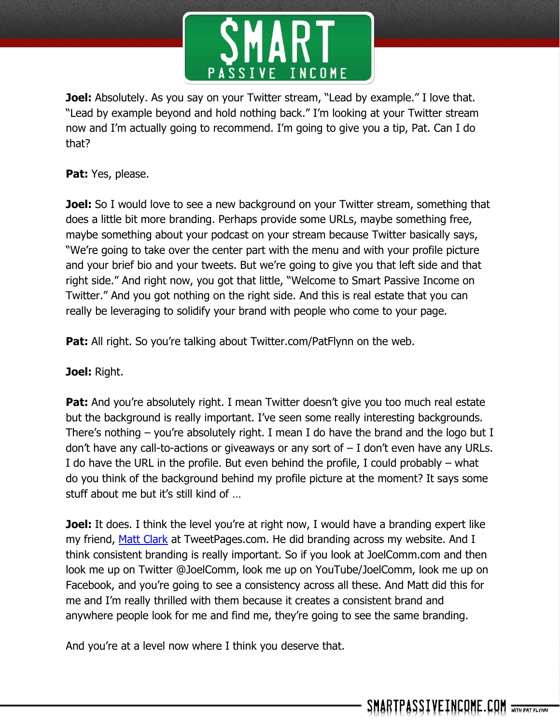

**Joel:** Absolutely. As you say on your Twitter stream, "Lead by example." I love that. "Lead by example beyond and hold nothing back." I'm looking at your Twitter stream now and I'm actually going to recommend. I'm going to give you a tip, Pat. Can I do that?

Pat: Yes, please.

**Joel:** So I would love to see a new background on your Twitter stream, something that does a little bit more branding. Perhaps provide some URLs, maybe something free, maybe something about your podcast on your stream because Twitter basically says, "We're going to take over the center part with the menu and with your profile picture and your brief bio and your tweets. But we're going to give you that left side and that right side." And right now, you got that little, "Welcome to Smart Passive Income on Twitter." And you got nothing on the right side. And this is real estate that you can really be leveraging to solidify your brand with people who come to your page.

**Pat:** All right. So you're talking about Twitter.com/PatFlynn on the web.

**Joel:** Right.

**Pat:** And you're absolutely right. I mean Twitter doesn't give you too much real estate but the background is really important. I've seen some really interesting backgrounds. There's nothing – you're absolutely right. I mean I do have the brand and the logo but I don't have any call-to-actions or giveaways or any sort of  $-1$  don't even have any URLs. I do have the URL in the profile. But even behind the profile, I could probably – what do you think of the background behind my profile picture at the moment? It says some stuff about me but it's still kind of …

**Joel:** It does. I think the level you're at right now, I would have a branding expert like my friend, [Matt Clark](http://www.tweetpages.com/) at TweetPages.com. He did branding across my website. And I think consistent branding is really important. So if you look at JoelComm.com and then look me up on Twitter @JoelComm, look me up on YouTube/JoelComm, look me up on Facebook, and you're going to see a consistency across all these. And Matt did this for me and I'm really thrilled with them because it creates a consistent brand and anywhere people look for me and find me, they're going to see the same branding.

And you're at a level now where I think you deserve that.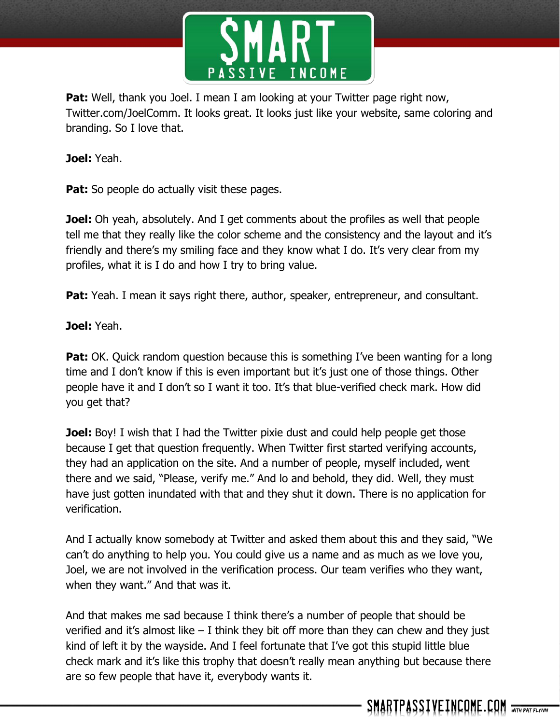

**Pat:** Well, thank you Joel. I mean I am looking at your Twitter page right now, Twitter.com/JoelComm. It looks great. It looks just like your website, same coloring and branding. So I love that.

**Joel:** Yeah.

**Pat:** So people do actually visit these pages.

**Joel:** Oh yeah, absolutely. And I get comments about the profiles as well that people tell me that they really like the color scheme and the consistency and the layout and it's friendly and there's my smiling face and they know what I do. It's very clear from my profiles, what it is I do and how I try to bring value.

**Pat:** Yeah. I mean it says right there, author, speaker, entrepreneur, and consultant.

**Joel:** Yeah.

**Pat:** OK. Quick random question because this is something I've been wanting for a long time and I don't know if this is even important but it's just one of those things. Other people have it and I don't so I want it too. It's that blue-verified check mark. How did you get that?

**Joel:** Boy! I wish that I had the Twitter pixie dust and could help people get those because I get that question frequently. When Twitter first started verifying accounts, they had an application on the site. And a number of people, myself included, went there and we said, "Please, verify me." And lo and behold, they did. Well, they must have just gotten inundated with that and they shut it down. There is no application for verification.

And I actually know somebody at Twitter and asked them about this and they said, "We can't do anything to help you. You could give us a name and as much as we love you, Joel, we are not involved in the verification process. Our team verifies who they want, when they want." And that was it.

And that makes me sad because I think there's a number of people that should be verified and it's almost like  $-1$  think they bit off more than they can chew and they just kind of left it by the wayside. And I feel fortunate that I've got this stupid little blue check mark and it's like this trophy that doesn't really mean anything but because there are so few people that have it, everybody wants it.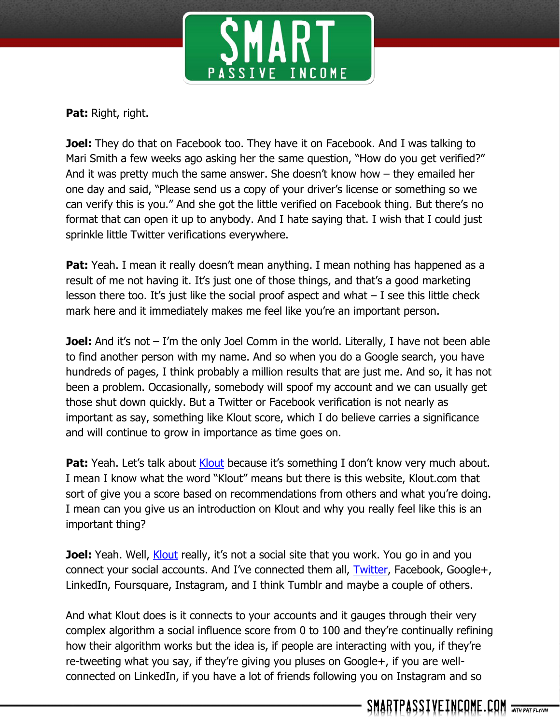

**Pat:** Right, right.

**Joel:** They do that on Facebook too. They have it on Facebook. And I was talking to Mari Smith a few weeks ago asking her the same question, "How do you get verified?" And it was pretty much the same answer. She doesn't know how – they emailed her one day and said, "Please send us a copy of your driver's license or something so we can verify this is you." And she got the little verified on Facebook thing. But there's no format that can open it up to anybody. And I hate saying that. I wish that I could just sprinkle little Twitter verifications everywhere.

**Pat:** Yeah. I mean it really doesn't mean anything. I mean nothing has happened as a result of me not having it. It's just one of those things, and that's a good marketing lesson there too. It's just like the social proof aspect and what  $-$  I see this little check mark here and it immediately makes me feel like you're an important person.

**Joel:** And it's not – I'm the only Joel Comm in the world. Literally, I have not been able to find another person with my name. And so when you do a Google search, you have hundreds of pages, I think probably a million results that are just me. And so, it has not been a problem. Occasionally, somebody will spoof my account and we can usually get those shut down quickly. But a Twitter or Facebook verification is not nearly as important as say, something like Klout score, which I do believe carries a significance and will continue to grow in importance as time goes on.

Pat: Yeah. Let's talk about [Klout](http://klout.com/home) because it's something I don't know very much about. I mean I know what the word "Klout" means but there is this website, Klout.com that sort of give you a score based on recommendations from others and what you're doing. I mean can you give us an introduction on Klout and why you really feel like this is an important thing?

**Joel:** Yeah. Well, [Klout](http://klout.com/home) really, it's not a social site that you work. You go in and you connect your social accounts. And I've connected them all, [Twitter,](http://twitter.com/joelcomm) Facebook, Google+, LinkedIn, Foursquare, Instagram, and I think Tumblr and maybe a couple of others.

And what Klout does is it connects to your accounts and it gauges through their very complex algorithm a social influence score from 0 to 100 and they're continually refining how their algorithm works but the idea is, if people are interacting with you, if they're re-tweeting what you say, if they're giving you pluses on Google+, if you are wellconnected on LinkedIn, if you have a lot of friends following you on Instagram and so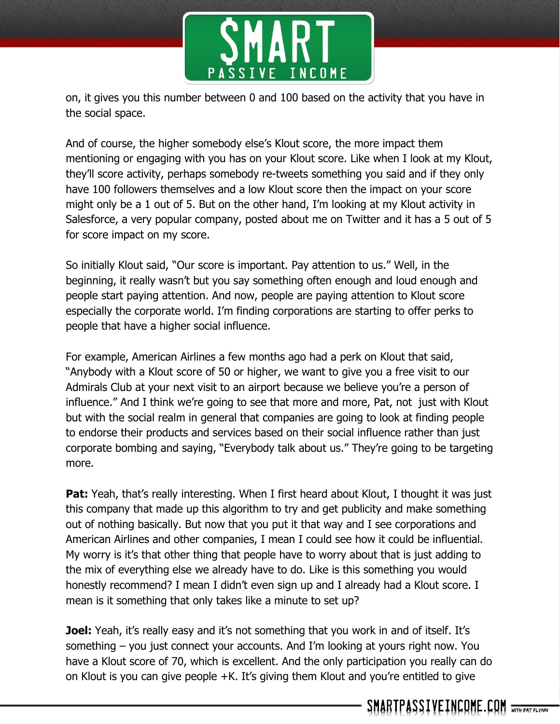

on, it gives you this number between 0 and 100 based on the activity that you have in the social space.

And of course, the higher somebody else's Klout score, the more impact them mentioning or engaging with you has on your Klout score. Like when I look at my Klout, they'll score activity, perhaps somebody re-tweets something you said and if they only have 100 followers themselves and a low Klout score then the impact on your score might only be a 1 out of 5. But on the other hand, I'm looking at my Klout activity in Salesforce, a very popular company, posted about me on Twitter and it has a 5 out of 5 for score impact on my score.

So initially Klout said, "Our score is important. Pay attention to us." Well, in the beginning, it really wasn't but you say something often enough and loud enough and people start paying attention. And now, people are paying attention to Klout score especially the corporate world. I'm finding corporations are starting to offer perks to people that have a higher social influence.

For example, American Airlines a few months ago had a perk on Klout that said, "Anybody with a Klout score of 50 or higher, we want to give you a free visit to our Admirals Club at your next visit to an airport because we believe you're a person of influence." And I think we're going to see that more and more, Pat, not just with Klout but with the social realm in general that companies are going to look at finding people to endorse their products and services based on their social influence rather than just corporate bombing and saying, "Everybody talk about us." They're going to be targeting more.

**Pat:** Yeah, that's really interesting. When I first heard about Klout, I thought it was just this company that made up this algorithm to try and get publicity and make something out of nothing basically. But now that you put it that way and I see corporations and American Airlines and other companies, I mean I could see how it could be influential. My worry is it's that other thing that people have to worry about that is just adding to the mix of everything else we already have to do. Like is this something you would honestly recommend? I mean I didn't even sign up and I already had a Klout score. I mean is it something that only takes like a minute to set up?

**Joel:** Yeah, it's really easy and it's not something that you work in and of itself. It's something – you just connect your accounts. And I'm looking at yours right now. You have a Klout score of 70, which is excellent. And the only participation you really can do on Klout is you can give people +K. It's giving them Klout and you're entitled to give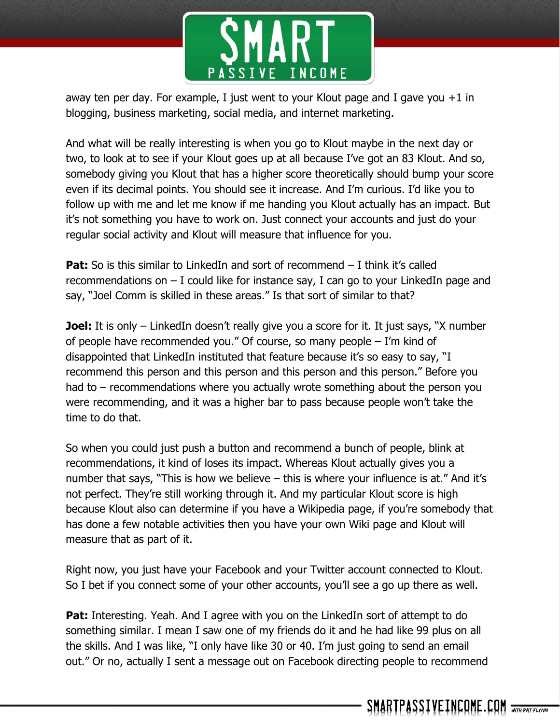

away ten per day. For example, I just went to your Klout page and I gave you  $+1$  in blogging, business marketing, social media, and internet marketing.

And what will be really interesting is when you go to Klout maybe in the next day or two, to look at to see if your Klout goes up at all because I've got an 83 Klout. And so, somebody giving you Klout that has a higher score theoretically should bump your score even if its decimal points. You should see it increase. And I'm curious. I'd like you to follow up with me and let me know if me handing you Klout actually has an impact. But it's not something you have to work on. Just connect your accounts and just do your regular social activity and Klout will measure that influence for you.

**Pat:** So is this similar to LinkedIn and sort of recommend – I think it's called recommendations on  $-$  I could like for instance say, I can go to your LinkedIn page and say, "Joel Comm is skilled in these areas." Is that sort of similar to that?

**Joel:** It is only – LinkedIn doesn't really give you a score for it. It just says, "X number of people have recommended you." Of course, so many people – I'm kind of disappointed that LinkedIn instituted that feature because it's so easy to say, "I recommend this person and this person and this person and this person." Before you had to – recommendations where you actually wrote something about the person you were recommending, and it was a higher bar to pass because people won't take the time to do that.

So when you could just push a button and recommend a bunch of people, blink at recommendations, it kind of loses its impact. Whereas Klout actually gives you a number that says, "This is how we believe – this is where your influence is at." And it's not perfect. They're still working through it. And my particular Klout score is high because Klout also can determine if you have a Wikipedia page, if you're somebody that has done a few notable activities then you have your own Wiki page and Klout will measure that as part of it.

Right now, you just have your Facebook and your Twitter account connected to Klout. So I bet if you connect some of your other accounts, you'll see a go up there as well.

**Pat:** Interesting. Yeah. And I agree with you on the LinkedIn sort of attempt to do something similar. I mean I saw one of my friends do it and he had like 99 plus on all the skills. And I was like, "I only have like 30 or 40. I'm just going to send an email out." Or no, actually I sent a message out on Facebook directing people to recommend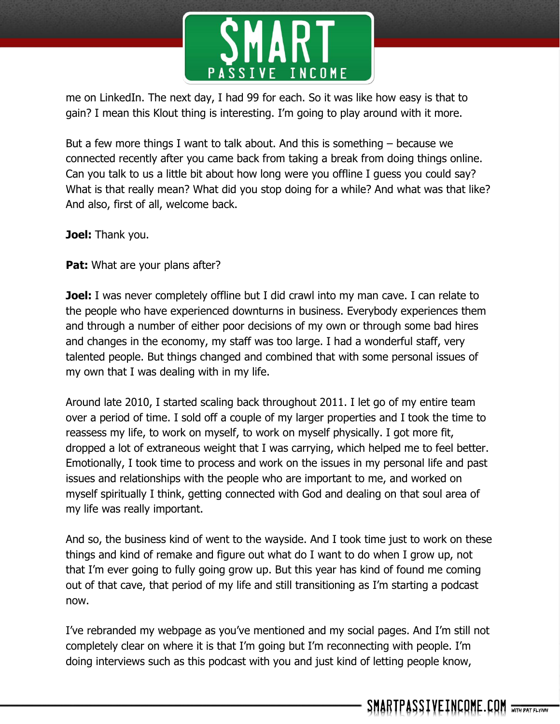

me on LinkedIn. The next day, I had 99 for each. So it was like how easy is that to gain? I mean this Klout thing is interesting. I'm going to play around with it more.

But a few more things I want to talk about. And this is something – because we connected recently after you came back from taking a break from doing things online. Can you talk to us a little bit about how long were you offline I guess you could say? What is that really mean? What did you stop doing for a while? And what was that like? And also, first of all, welcome back.

**Joel:** Thank you.

**Pat:** What are your plans after?

**Joel:** I was never completely offline but I did crawl into my man cave. I can relate to the people who have experienced downturns in business. Everybody experiences them and through a number of either poor decisions of my own or through some bad hires and changes in the economy, my staff was too large. I had a wonderful staff, very talented people. But things changed and combined that with some personal issues of my own that I was dealing with in my life.

Around late 2010, I started scaling back throughout 2011. I let go of my entire team over a period of time. I sold off a couple of my larger properties and I took the time to reassess my life, to work on myself, to work on myself physically. I got more fit, dropped a lot of extraneous weight that I was carrying, which helped me to feel better. Emotionally, I took time to process and work on the issues in my personal life and past issues and relationships with the people who are important to me, and worked on myself spiritually I think, getting connected with God and dealing on that soul area of my life was really important.

And so, the business kind of went to the wayside. And I took time just to work on these things and kind of remake and figure out what do I want to do when I grow up, not that I'm ever going to fully going grow up. But this year has kind of found me coming out of that cave, that period of my life and still transitioning as I'm starting a podcast now.

I've rebranded my webpage as you've mentioned and my social pages. And I'm still not completely clear on where it is that I'm going but I'm reconnecting with people. I'm doing interviews such as this podcast with you and just kind of letting people know,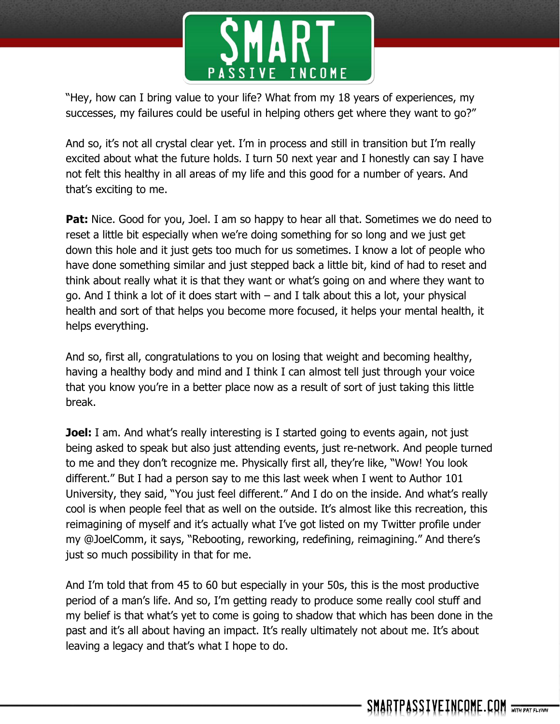

"Hey, how can I bring value to your life? What from my 18 years of experiences, my successes, my failures could be useful in helping others get where they want to go?"

And so, it's not all crystal clear yet. I'm in process and still in transition but I'm really excited about what the future holds. I turn 50 next year and I honestly can say I have not felt this healthy in all areas of my life and this good for a number of years. And that's exciting to me.

**Pat:** Nice. Good for you, Joel. I am so happy to hear all that. Sometimes we do need to reset a little bit especially when we're doing something for so long and we just get down this hole and it just gets too much for us sometimes. I know a lot of people who have done something similar and just stepped back a little bit, kind of had to reset and think about really what it is that they want or what's going on and where they want to go. And I think a lot of it does start with – and I talk about this a lot, your physical health and sort of that helps you become more focused, it helps your mental health, it helps everything.

And so, first all, congratulations to you on losing that weight and becoming healthy, having a healthy body and mind and I think I can almost tell just through your voice that you know you're in a better place now as a result of sort of just taking this little break.

**Joel:** I am. And what's really interesting is I started going to events again, not just being asked to speak but also just attending events, just re-network. And people turned to me and they don't recognize me. Physically first all, they're like, "Wow! You look different." But I had a person say to me this last week when I went to Author 101 University, they said, "You just feel different." And I do on the inside. And what's really cool is when people feel that as well on the outside. It's almost like this recreation, this reimagining of myself and it's actually what I've got listed on my Twitter profile under my @JoelComm, it says, "Rebooting, reworking, redefining, reimagining." And there's just so much possibility in that for me.

And I'm told that from 45 to 60 but especially in your 50s, this is the most productive period of a man's life. And so, I'm getting ready to produce some really cool stuff and my belief is that what's yet to come is going to shadow that which has been done in the past and it's all about having an impact. It's really ultimately not about me. It's about leaving a legacy and that's what I hope to do.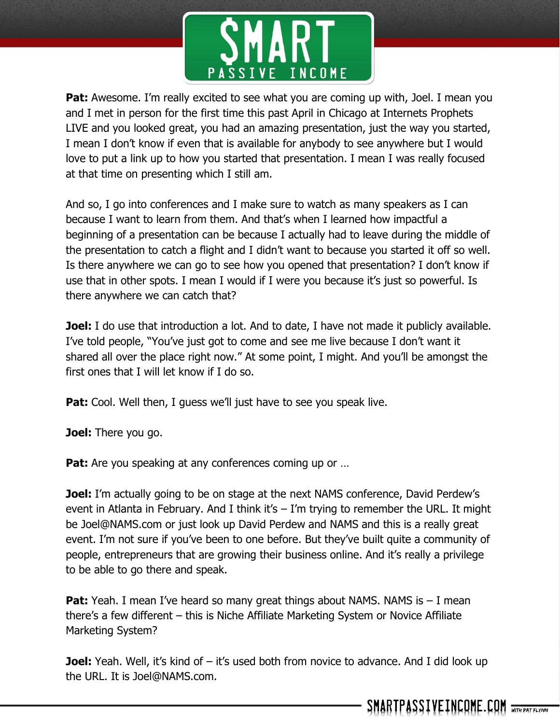

**Pat:** Awesome. I'm really excited to see what you are coming up with, Joel. I mean you and I met in person for the first time this past April in Chicago at Internets Prophets LIVE and you looked great, you had an amazing presentation, just the way you started, I mean I don't know if even that is available for anybody to see anywhere but I would love to put a link up to how you started that presentation. I mean I was really focused at that time on presenting which I still am.

And so, I go into conferences and I make sure to watch as many speakers as I can because I want to learn from them. And that's when I learned how impactful a beginning of a presentation can be because I actually had to leave during the middle of the presentation to catch a flight and I didn't want to because you started it off so well. Is there anywhere we can go to see how you opened that presentation? I don't know if use that in other spots. I mean I would if I were you because it's just so powerful. Is there anywhere we can catch that?

**Joel:** I do use that introduction a lot. And to date, I have not made it publicly available. I've told people, "You've just got to come and see me live because I don't want it shared all over the place right now." At some point, I might. And you'll be amongst the first ones that I will let know if I do so.

**Pat:** Cool. Well then, I guess we'll just have to see you speak live.

**Joel:** There you go.

**Pat:** Are you speaking at any conferences coming up or ...

**Joel:** I'm actually going to be on stage at the next NAMS conference, David Perdew's event in Atlanta in February. And I think it's  $-$  I'm trying to remember the URL. It might be Joel@NAMS.com or just look up David Perdew and NAMS and this is a really great event. I'm not sure if you've been to one before. But they've built quite a community of people, entrepreneurs that are growing their business online. And it's really a privilege to be able to go there and speak.

**Pat:** Yeah. I mean I've heard so many great things about NAMS. NAMS is - I mean there's a few different – this is Niche Affiliate Marketing System or Novice Affiliate Marketing System?

**Joel:** Yeah. Well, it's kind of – it's used both from novice to advance. And I did look up the URL. It is Joel@NAMS.com.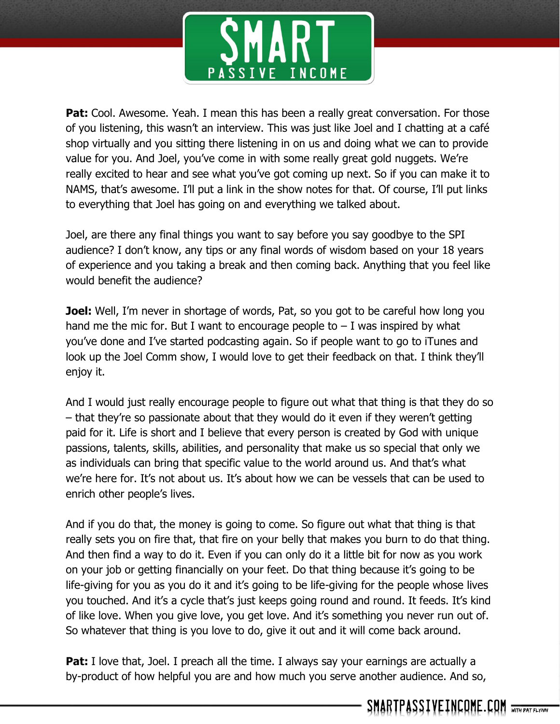

**Pat:** Cool. Awesome. Yeah. I mean this has been a really great conversation. For those of you listening, this wasn't an interview. This was just like Joel and I chatting at a café shop virtually and you sitting there listening in on us and doing what we can to provide value for you. And Joel, you've come in with some really great gold nuggets. We're really excited to hear and see what you've got coming up next. So if you can make it to NAMS, that's awesome. I'll put a link in the show notes for that. Of course, I'll put links to everything that Joel has going on and everything we talked about.

Joel, are there any final things you want to say before you say goodbye to the SPI audience? I don't know, any tips or any final words of wisdom based on your 18 years of experience and you taking a break and then coming back. Anything that you feel like would benefit the audience?

**Joel:** Well, I'm never in shortage of words, Pat, so you got to be careful how long you hand me the mic for. But I want to encourage people to  $-$  I was inspired by what you've done and I've started podcasting again. So if people want to go to iTunes and look up the Joel Comm show, I would love to get their feedback on that. I think they'll enjoy it.

And I would just really encourage people to figure out what that thing is that they do so – that they're so passionate about that they would do it even if they weren't getting paid for it. Life is short and I believe that every person is created by God with unique passions, talents, skills, abilities, and personality that make us so special that only we as individuals can bring that specific value to the world around us. And that's what we're here for. It's not about us. It's about how we can be vessels that can be used to enrich other people's lives.

And if you do that, the money is going to come. So figure out what that thing is that really sets you on fire that, that fire on your belly that makes you burn to do that thing. And then find a way to do it. Even if you can only do it a little bit for now as you work on your job or getting financially on your feet. Do that thing because it's going to be life-giving for you as you do it and it's going to be life-giving for the people whose lives you touched. And it's a cycle that's just keeps going round and round. It feeds. It's kind of like love. When you give love, you get love. And it's something you never run out of. So whatever that thing is you love to do, give it out and it will come back around.

**Pat:** I love that, Joel. I preach all the time. I always say your earnings are actually a by-product of how helpful you are and how much you serve another audience. And so,